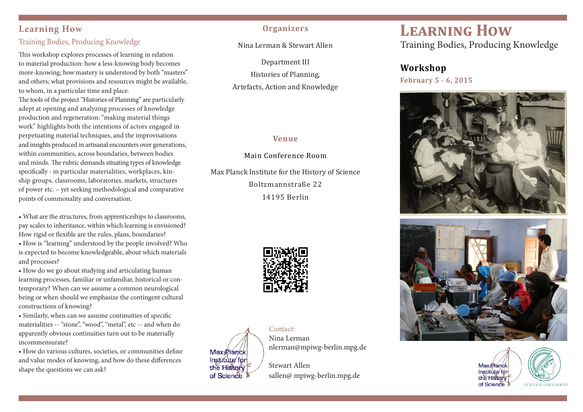# **Learning How**

# Training Bodies, Producing Knowledge

This workshop explores processes of learning in relation to material production: how a less-knowing body becomes more-knowing; how mastery is understood by both "masters" and others; what provisions and resources might be available, to whom, in a particular time and place.

The tools of the project "Histories of Planning" are particularly adept at opening and analyzing processes of knowledge production and regeneration: "making material things work" highlights both the intentions of actors engaged in perpetuating material techniques, and the improvisations and insights produced in artisanal encounters over generations, within communities, across boundaries, between bodies and minds. The rubric demands situating types of knowledge specifically - in particular materialities, workplaces, kinship groups, classrooms, laboratories, markets, structures of power etc. – yet seeking methodological and comparative points of commonality and conversation.

• What are the structures, from apprenticeships to classrooms, pay scales to inheritance, within which learning is envisioned? How rigid or flexible are the rules, plans, boundaries?

• How is "learning" understood by the people involved? Who is expected to become knowledgeable, about which materials and processes?

• How do we go about studying and articulating human learning processes, familiar or unfamiliar, historical or contemporary? When can we assume a common neurological being or when should we emphasize the contingent cultural constructions of knowing?

• Similarly, when can we assume continuities of specific materialities -- "stone", "wood", "metal", etc -- and when do apparently obvious continuities turn out to be materially incommensurate?

• How do various cultures, societies, or communities define and value modes of knowing, and how do these differences shape the questions we can ask?

# **Organizers**

Nina%Lerman%&%Stewart%Allen

Department III

Histories of Planning,

Artefacts, Action and Knowledge

# **Venue**

Main%Conference%Room

Max Planck Institute for the History of Science Boltzmannstraße%22% 14195%Berlin





Contact: Nina Lerman nlerman@mpiwg-berlin.mpg.de

Stewart Allen sallen@ mpiwg-berlin.mpg.de

# **LEARNING HOW**

Training Bodies, Producing Knowledge

# **Workshop**

**February 5 - 6, 2015**